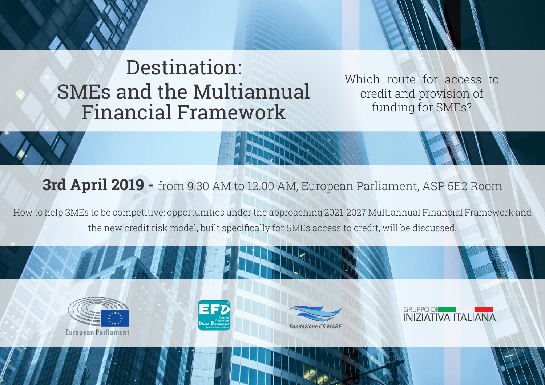## Destination: SMEs and the Multiannual Financial Framework

Which route for access to credit and provision of funding for SMEs?

**3rd April 2019 -** from 9.30 AM to 12.00 AM, European Parliament, ASP 5E2 Room

How to help SMEs to be competitive: opportunities under the approaching 2021-2027 Multiannual Financial Framework and the new credit risk model, built specifically for SMEs access to credit, will be discussed.